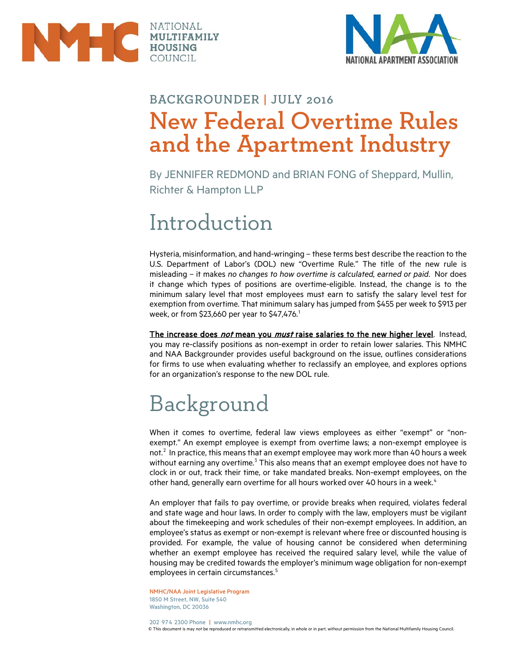



#### BACKGROUNDER | JULY 2016 New Federal Overtime Rules and the Apartment Industry

By JENNIFER REDMOND and BRIAN FONG of Sheppard, Mullin, Richter & Hampton LLP

### Introduction

Hysteria, misinformation, and hand-wringing – these terms best describe the reaction to the U.S. Department of Labor's (DOL) new "Overtime Rule." The title of the new rule is misleading – it makes *no changes to how overtime is calculated, earned or paid*. Nor does it change which types of positions are overtime-eligible. Instead, the change is to the minimum salary level that most employees must earn to satisfy the salary level test for exemption from overtime. That minimum salary has jumped from \$455 per week to \$913 per week, or from \$23,660 per year to \$47,476. $^1$  $^1$ 

The increase does not mean you must raise salaries to the new higher level. Instead, you may re-classify positions as non-exempt in order to retain lower salaries. This NMHC and NAA Backgrounder provides useful background on the issue, outlines considerations for firms to use when evaluating whether to reclassify an employee, and explores options for an organization's response to the new DOL rule.

## Background

When it comes to overtime, federal law views employees as either "exempt" or "nonexempt." An exempt employee is exempt from overtime laws; a non-exempt employee is not. $2$  In practice, this means that an exempt employee may work more than 40 hours a week without earning any overtime.<sup>[3](#page-4-2)</sup> This also means that an exempt employee does not have to clock in or out, track their time, or take mandated breaks. Non-exempt employees, on the other hand, generally earn overtime for all hours worked over [4](#page-4-3)0 hours in a week.<sup>4</sup>

An employer that fails to pay overtime, or provide breaks when required, violates federal and state wage and hour laws. In order to comply with the law, employers must be vigilant about the timekeeping and work schedules of their non-exempt employees. In addition, an employee's status as exempt or non-exempt is relevant where free or discounted housing is provided. For example, the value of housing cannot be considered when determining whether an exempt employee has received the required salary level, while the value of housing may be credited towards the employer's minimum wage obligation for non-exempt employees in certain circumstances.<sup>[5](#page-4-4)</sup>

NMHC/NAA Joint Legislative Program 1850 M Street, NW, Suite 540 Washington, DC 20036

202 974 2300 Phone | www.nmhc.org © This document is may not be reproduced or retransmitted electronically, in whole or in part, without permission from the National Multifamily Housing Council.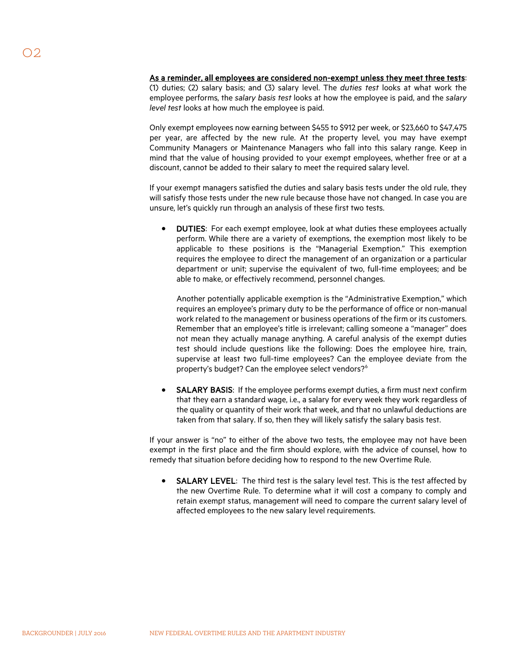As a reminder, all employees are considered non-exempt unless they meet three tests: (1) duties; (2) salary basis; and (3) salary level. The *duties test* looks at what work the employee performs, the *salary basis test* looks at how the employee is paid, and the *salary level test* looks at how much the employee is paid.

Only exempt employees now earning between \$455 to \$912 per week, or \$23,660 to \$47,475 per year, are affected by the new rule. At the property level, you may have exempt Community Managers or Maintenance Managers who fall into this salary range. Keep in mind that the value of housing provided to your exempt employees, whether free or at a discount, cannot be added to their salary to meet the required salary level.

If your exempt managers satisfied the duties and salary basis tests under the old rule, they will satisfy those tests under the new rule because those have not changed. In case you are unsure, let's quickly run through an analysis of these first two tests.

• DUTIES: For each exempt employee, look at what duties these employees actually perform. While there are a variety of exemptions, the exemption most likely to be applicable to these positions is the "Managerial Exemption." This exemption requires the employee to direct the management of an organization or a particular department or unit; supervise the equivalent of two, full-time employees; and be able to make, or effectively recommend, personnel changes.

Another potentially applicable exemption is the "Administrative Exemption," which requires an employee's primary duty to be the performance of office or non-manual work related to the management or business operations of the firm or its customers. Remember that an employee's title is irrelevant; calling someone a "manager" does not mean they actually manage anything. A careful analysis of the exempt duties test should include questions like the following: Does the employee hire, train, supervise at least two full-time employees? Can the employee deviate from the property's budget? Can the employee select vendors?<sup>[6](#page-4-5)</sup>

SALARY BASIS: If the employee performs exempt duties, a firm must next confirm that they earn a standard wage, i.e., a salary for every week they work regardless of the quality or quantity of their work that week, and that no unlawful deductions are taken from that salary. If so, then they will likely satisfy the salary basis test.

If your answer is "no" to either of the above two tests, the employee may not have been exempt in the first place and the firm should explore, with the advice of counsel, how to remedy that situation before deciding how to respond to the new Overtime Rule.

SALARY LEVEL: The third test is the salary level test. This is the test affected by the new Overtime Rule. To determine what it will cost a company to comply and retain exempt status, management will need to compare the current salary level of affected employees to the new salary level requirements.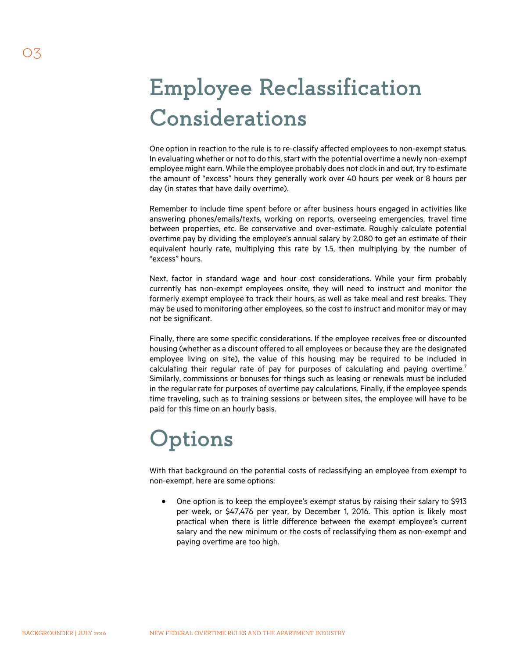# Employee Reclassification Considerations

One option in reaction to the rule is to re-classify affected employees to non-exempt status. In evaluating whether or not to do this, start with the potential overtime a newly non-exempt employee might earn. While the employee probably does not clock in and out, try to estimate the amount of "excess" hours they generally work over 40 hours per week or 8 hours per day (in states that have daily overtime).

Remember to include time spent before or after business hours engaged in activities like answering phones/emails/texts, working on reports, overseeing emergencies, travel time between properties, etc. Be conservative and over-estimate. Roughly calculate potential overtime pay by dividing the employee's annual salary by 2,080 to get an estimate of their equivalent hourly rate, multiplying this rate by 1.5, then multiplying by the number of "excess" hours.

Next, factor in standard wage and hour cost considerations. While your firm probably currently has non-exempt employees onsite, they will need to instruct and monitor the formerly exempt employee to track their hours, as well as take meal and rest breaks. They may be used to monitoring other employees, so the cost to instruct and monitor may or may not be significant.

Finally, there are some specific considerations. If the employee receives free or discounted housing (whether as a discount offered to all employees or because they are the designated employee living on site), the value of this housing may be required to be included in calculating their regular rate of pay for purposes of calculating and paying overtime.<sup>[7](#page-4-6)</sup> Similarly, commissions or bonuses for things such as leasing or renewals must be included in the regular rate for purposes of overtime pay calculations. Finally, if the employee spends time traveling, such as to training sessions or between sites, the employee will have to be paid for this time on an hourly basis.

## **Options**

With that background on the potential costs of reclassifying an employee from exempt to non-exempt, here are some options:

• One option is to keep the employee's exempt status by raising their salary to \$913 per week, or \$47,476 per year, by December 1, 2016. This option is likely most practical when there is little difference between the exempt employee's current salary and the new minimum or the costs of reclassifying them as non-exempt and paying overtime are too high.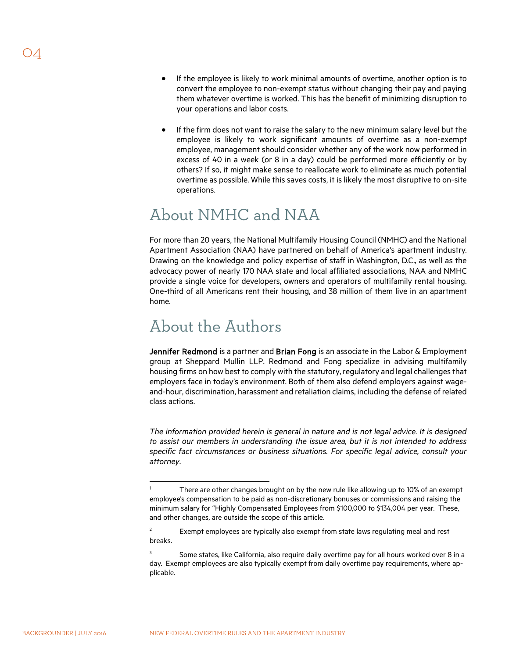- If the employee is likely to work minimal amounts of overtime, another option is to convert the employee to non-exempt status without changing their pay and paying them whatever overtime is worked. This has the benefit of minimizing disruption to your operations and labor costs.
- If the firm does not want to raise the salary to the new minimum salary level but the employee is likely to work significant amounts of overtime as a non-exempt employee, management should consider whether any of the work now performed in excess of 40 in a week (or 8 in a day) could be performed more efficiently or by others? If so, it might make sense to reallocate work to eliminate as much potential overtime as possible. While this saves costs, it is likely the most disruptive to on-site operations.

#### About NMHC and NAA

For more than 20 years, the National Multifamily Housing Council (NMHC) and the National Apartment Association (NAA) have partnered on behalf of America's apartment industry. Drawing on the knowledge and policy expertise of staff in Washington, D.C., as well as the advocacy power of nearly 170 NAA state and local affiliated associations, NAA and NMHC provide a single voice for developers, owners and operators of multifamily rental housing. One-third of all Americans rent their housing, and 38 million of them live in an apartment home.

#### About the Authors

Jennifer Redmond is a partner and Brian Fong is an associate in the Labor & Employment group at Sheppard Mullin LLP. Redmond and Fong specialize in advising multifamily housing firms on how best to comply with the statutory, regulatory and legal challenges that employers face in today's environment. Both of them also defend employers against wageand-hour, discrimination, harassment and retaliation claims, including the defense of related class actions.

*The information provided herein is general in nature and is not legal advice. It is designed to assist our members in understanding the issue area, but it is not intended to address specific fact circumstances or business situations. For specific legal advice, consult your attorney.*

 $\overline{a}$ 

<sup>1</sup> There are other changes brought on by the new rule like allowing up to 10% of an exempt employee's compensation to be paid as non-discretionary bonuses or commissions and raising the minimum salary for "Highly Compensated Employees from \$100,000 to \$134,004 per year. These, and other changes, are outside the scope of this article.

 $2^2$  Exempt employees are typically also exempt from state laws regulating meal and rest breaks.

 $3$  Some states, like California, also require daily overtime pay for all hours worked over 8 in a day. Exempt employees are also typically exempt from daily overtime pay requirements, where applicable.